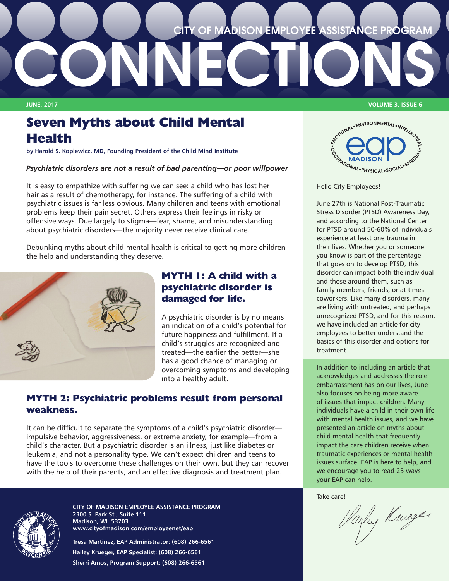# **CONNECTION CITY OF MADISON EMPLOYEE ASSISTANCE PROGRAM**

# **Seven Myths about Child Mental Health**

**[by Harold S. Koplewicz, MD, Founding President of the Child Mind Institute](https://childmind.org/bio/harold-s-koplewicz-md/)**

#### *Psychiatric disorders are not a result of bad parenting—or poor willpower*

It is easy to empathize with suffering we can see: a child who has lost her hair as a result of chemotherapy, for instance. The suffering of a child with psychiatric issues is far less obvious. Many children and teens with emotional problems keep their pain secret. Others express their feelings in risky or offensive ways. Due largely to stigma—fear, shame, and misunderstanding about psychiatric disorders—the majority never receive clinical care.

Debunking myths about child mental health is critical to getting more children the help and understanding they deserve.



# **MYTH 1: A child with a psychiatric disorder is damaged for life.**

A psychiatric disorder is by no means an indication of a child's potential for future happiness and fulfillment. If a child's struggles are recognized and treated—the earlier the better—she has a good chance of managing or overcoming symptoms and developing into a healthy adult.

## **MYTH 2: Psychiatric problems result from personal weakness.**

It can be difficult to separate the symptoms of a child's psychiatric disorder impulsive behavior, aggressiveness, or extreme anxiety, for example—from a child's character. But a psychiatric disorder is an illness, just like diabetes or leukemia, and not a personality type. We can't expect children and teens to have the tools to overcome these challenges on their own, but they can recover with the help of their parents, and an effective diagnosis and treatment plan.



**CITY OF MADISON EMPLOYEE ASSISTANCE PROGRAM 2300 S. Park St., Suite 111 Madison, WI 53703 www.cityofmadison.com/employeenet/eap**

**Tresa Martinez, EAP Administrator: (608) 266-6561 Hailey Krueger, EAP Specialist: (608) 266-6561 Sherri Amos, Program Support: (608) 266-6561**

**JUNE, 2017 VOLUME 3, ISSUE 6**



Hello City Employees!

June 27th is National Post-Traumatic Stress Disorder (PTSD) Awareness Day, and according to the National Center for PTSD around 50-60% of individuals experience at least one trauma in their lives. Whether you or someone you know is part of the percentage that goes on to develop PTSD, this disorder can impact both the individual and those around them, such as family members, friends, or at times coworkers. Like many disorders, many are living with untreated, and perhaps unrecognized PTSD, and for this reason, we have included an article for city employees to better understand the basics of this disorder and options for treatment.

In addition to including an article that acknowledges and addresses the role embarrassment has on our lives, June also focuses on being more aware of issues that impact children. Many individuals have a child in their own life with mental health issues, and we have presented an article on myths about child mental health that frequently impact the care children receive when traumatic experiences or mental health issues surface. EAP is here to help, and we encourage you to read 25 ways your EAP can help.

Take care!<br>Haifly Knieger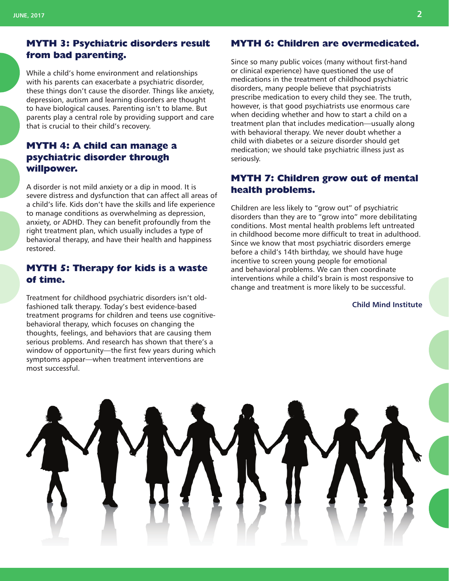## **MYTH 3: Psychiatric disorders result from bad parenting.**

While a child's home environment and relationships with his parents can exacerbate a psychiatric disorder, these things don't cause the disorder. Things like anxiety, depression, autism and learning disorders are thought to have biological causes. Parenting isn't to blame. But parents play a central role by providing support and care that is crucial to their child's recovery.

# **MYTH 4: A child can manage a psychiatric disorder through willpower.**

A disorder is not mild anxiety or a dip in mood. It is severe distress and dysfunction that can affect all areas of a child's life. Kids don't have the skills and life experience to manage conditions as overwhelming as depression, anxiety, or ADHD. They can benefit profoundly from the right treatment plan, which usually includes a type of behavioral therapy, and have their health and happiness restored.

## **MYTH 5: Therapy for kids is a waste of time.**

Treatment for childhood psychiatric disorders isn't oldfashioned talk therapy. Today's best evidence-based treatment programs for children and teens use cognitivebehavioral therapy, which focuses on changing the thoughts, feelings, and behaviors that are causing them serious problems. And research has shown that there's a window of opportunity—the first few years during which symptoms appear—when treatment interventions are most successful.

# **MYTH 6: Children are overmedicated.**

Since so many public voices (many without first-hand or clinical experience) have questioned the use of medications in the treatment of childhood psychiatric disorders, many people believe that psychiatrists prescribe medication to every child they see. The truth, however, is that good psychiatrists use enormous care when deciding whether and how to start a child on a treatment plan that includes medication—usually along with behavioral therapy. We never doubt whether a child with diabetes or a seizure disorder should get medication; we should take psychiatric illness just as seriously.

# **MYTH 7: Children grow out of mental health problems.**

Children are less likely to "grow out" of psychiatric disorders than they are to "grow into" more debilitating conditions. Most mental health problems left untreated in childhood become more difficult to treat in adulthood. Since we know that most psychiatric disorders emerge before a child's 14th birthday, we should have huge incentive to screen young people for emotional and behavioral problems. We can then coordinate interventions while a child's brain is most responsive to change and treatment is more likely to be successful.

#### **[Child Mind Institute](https://childmind.org/)**

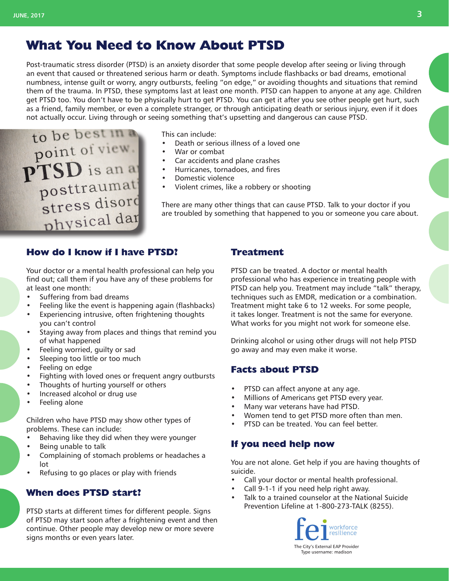# **What You Need to Know About PTSD**

Post-traumatic stress disorder (PTSD) is an anxiety disorder that some people develop after seeing or living through an event that caused or threatened serious harm or death. Symptoms include flashbacks or bad dreams, emotional numbness, intense guilt or worry, angry outbursts, feeling "on edge," or avoiding thoughts and situations that remind them of the trauma. In PTSD, these symptoms last at least one month. PTSD can happen to anyone at any age. Children get PTSD too. You don't have to be physically hurt to get PTSD. You can get it after you see other people get hurt, such as a friend, family member, or even a complete stranger, or through anticipating death or serious injury, even if it does not actually occur. Living through or seeing something that's upsetting and dangerous can cause PTSD.



This can include:

- Death or serious illness of a loved one
- War or combat
- Car accidents and plane crashes
- Hurricanes, tornadoes, and fires
- Domestic violence
- Violent crimes, like a robbery or shooting

There are many other things that can cause PTSD. Talk to your doctor if you are troubled by something that happened to you or someone you care about.

#### **How do I know if I have PTSD?**

Your doctor or a mental health professional can help you find out; call them if you have any of these problems for at least one month:

- Suffering from bad dreams
- Feeling like the event is happening again (flashbacks)
- Experiencing intrusive, often frightening thoughts you can't control
- Staying away from places and things that remind you of what happened
- Feeling worried, guilty or sad
- Sleeping too little or too much
- Feeling on edge
- Fighting with loved ones or frequent angry outbursts
- Thoughts of hurting yourself or others
- Increased alcohol or drug use
- Feeling alone

Children who have PTSD may show other types of problems. These can include:

- Behaving like they did when they were younger
- Being unable to talk
- Complaining of stomach problems or headaches a lot
- Refusing to go places or play with friends

#### **When does PTSD start?**

PTSD starts at different times for different people. Signs of PTSD may start soon after a frightening event and then continue. Other people may develop new or more severe signs months or even years later.

## **Treatment**

PTSD can be treated. A doctor or mental health professional who has experience in treating people with PTSD can help you. Treatment may include "talk" therapy, techniques such as EMDR, medication or a combination. Treatment might take 6 to 12 weeks. For some people, it takes longer. Treatment is not the same for everyone. What works for you might not work for someone else.

Drinking alcohol or using other drugs will not help PTSD go away and may even make it worse.

#### **Facts about PTSD**

- PTSD can affect anyone at any age.
- Millions of Americans get PTSD every year.
- Many war veterans have had PTSD.
- Women tend to get PTSD more often than men.
- PTSD can be treated. You can feel better.

#### **If you need help now**

You are not alone. Get help if you are having thoughts of suicide.

- Call your doctor or mental health professional.
- Call 9-1-1 if you need help right away.
- Talk to a trained counselor at the National Suicide Prevention Lifeline at 1-800-273-TALK (8255).

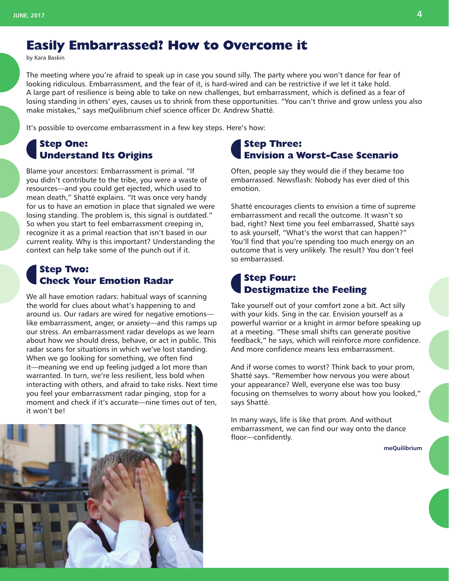# **Easily Embarrassed? How to Overcome it**

by Kara Baskin

The meeting where you're afraid to speak up in case you sound silly. The party where you won't dance for fear of looking ridiculous. Embarrassment, and the fear of it, is hard-wired and can be restrictive if we let it take hold. A large part of resilience is being able to take on new challenges, but embarrassment, which is defined as a fear of losing standing in others' eyes, causes us to shrink from these opportunities. "You can't thrive and grow unless you also make mistakes," says meQuilibrium chief science officer Dr. Andrew Shatté.

It's possible to overcome embarrassment in a few key steps. Here's how:

## **Step One: Understand Its Origins**

Blame your ancestors: Embarrassment is primal. "If you didn't contribute to the tribe, you were a waste of resources—and you could get ejected, which used to mean death," Shatté explains. "It was once very handy for us to have an emotion in place that signaled we were losing standing. The problem is, this signal is outdated." So when you start to feel embarrassment creeping in, recognize it as a primal reaction that isn't based in our current reality. Why is this important? Understanding the context can help take some of the punch out if it.

# **Step Two: Check Your Emotion Radar**

We all have emotion radars: habitual ways of scanning the world for clues about what's happening to and around us. Our radars are wired for negative emotions like embarrassment, anger, or anxiety—and this ramps up our stress. An embarrassment radar develops as we learn about how we should dress, behave, or act in public. This radar scans for situations in which we've lost standing. When we go looking for something, we often find it—meaning we end up feeling judged a lot more than warranted. In turn, we're less resilient, less bold when interacting with others, and afraid to take risks. Next time you feel your embarrassment radar pinging, stop for a moment and check if it's accurate—nine times out of ten, it won't be!

# **Step Three: Envision a Worst-Case Scenario**

Often, people say they would die if they became too embarrassed. Newsflash: Nobody has ever died of this emotion.

Shatté encourages clients to envision a time of supreme embarrassment and recall the outcome. It wasn't so bad, right? Next time you feel embarrassed, Shatté says to ask yourself, "What's the worst that can happen?" You'll find that you're spending too much energy on an outcome that is very unlikely. The result? You don't feel so embarrassed.

# **Step Four: Destigmatize the Feeling**

Take yourself out of your comfort zone a bit. Act silly with your kids. Sing in the car. Envision yourself as a powerful warrior or a knight in armor before speaking up at a meeting. "These small shifts can generate positive feedback," he says, which will reinforce more confidence. And more confidence means less embarrassment.

And if worse comes to worst? Think back to your prom, Shatté says. "Remember how nervous you were about your appearance? Well, everyone else was too busy focusing on themselves to worry about how you looked," says Shatté.

In many ways, life is like that prom. And without embarrassment, we can find our way onto the dance floor—confidently.

**[meQuilibrium](https://www.mequilibrium.com/)**